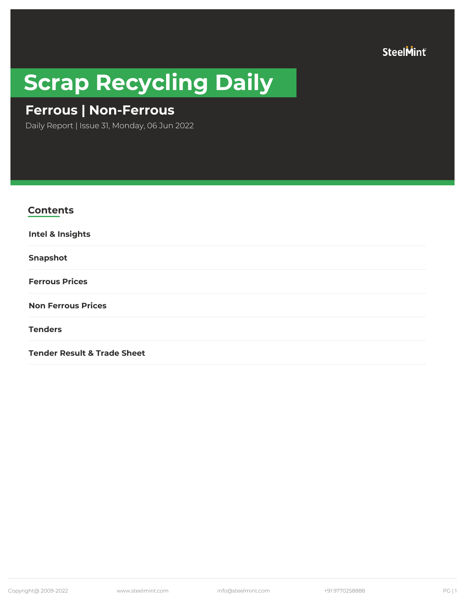SteelMint®

# **Scrap Recycling Daily**

# **Ferrous | Non-Ferrous**

Daily Report | Issue 31, Monday, 06 Jun 2022

| <b>Contents</b>                        |
|----------------------------------------|
| Intel & Insights                       |
| <b>Snapshot</b>                        |
| <b>Ferrous Prices</b>                  |
| <b>Non Ferrous Prices</b>              |
| <b>Tenders</b>                         |
| <b>Tender Result &amp; Trade Sheet</b> |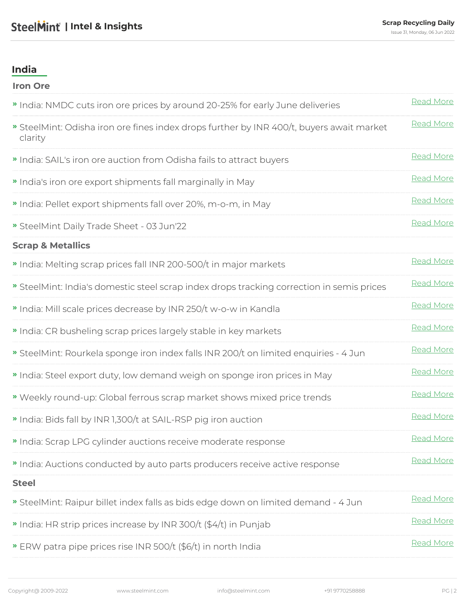### <span id="page-1-0"></span>**India**

| <b>Iron Ore</b>                                                                                   |           |
|---------------------------------------------------------------------------------------------------|-----------|
| " India: NMDC cuts iron ore prices by around 20-25% for early June deliveries                     | Read More |
| SteelMint: Odisha iron ore fines index drops further by INR 400/t, buyers await market<br>clarity | Read More |
| " India: SAIL's iron ore auction from Odisha fails to attract buyers                              | Read More |
| » India's iron ore export shipments fall marginally in May                                        | Read More |
| " India: Pellet export shipments fall over 20%, m-o-m, in May                                     | Read More |
| SteelMint Daily Trade Sheet - 03 Jun'22                                                           | Read More |
| <b>Scrap &amp; Metallics</b>                                                                      |           |
| " India: Melting scrap prices fall INR 200-500/t in major markets                                 | Read More |
| SteelMint: India's domestic steel scrap index drops tracking correction in semis prices           | Read More |
| " India: Mill scale prices decrease by INR 250/t w-o-w in Kandla                                  | Read More |
| " India: CR busheling scrap prices largely stable in key markets                                  | Read More |
| SteelMint: Rourkela sponge iron index falls INR 200/t on limited enquiries - 4 Jun                | Read More |
| " India: Steel export duty, low demand weigh on sponge iron prices in May                         | Read More |
| » Weekly round-up: Global ferrous scrap market shows mixed price trends                           | Read More |
| " India: Bids fall by INR 1,300/t at SAIL-RSP pig iron auction                                    | Read More |
| » India: Scrap LPG cylinder auctions receive moderate response                                    | Read More |
| " India: Auctions conducted by auto parts producers receive active response                       | Read More |
| <b>Steel</b>                                                                                      |           |
| SteelMint: Raipur billet index falls as bids edge down on limited demand - 4 Jun                  | Read More |
| • India: HR strip prices increase by INR 300/t (\$4/t) in Punjab                                  | Read More |
| » ERW patra pipe prices rise INR 500/t (\$6/t) in north India                                     | Read More |
|                                                                                                   |           |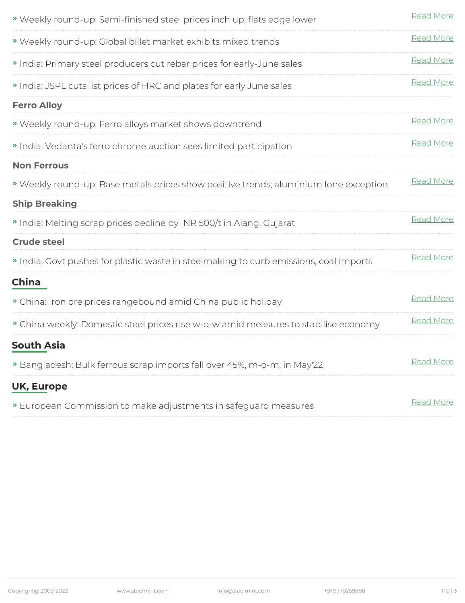| » Weekly round-up: Semi-finished steel prices inch up, flats edge lower             | Read More        |
|-------------------------------------------------------------------------------------|------------------|
| Weekly round-up: Global billet market exhibits mixed trends                         | Read More        |
| " India: Primary steel producers cut rebar prices for early-June sales              | Read More        |
| " India: JSPL cuts list prices of HRC and plates for early June sales               | Read More        |
| <b>Ferro Alloy</b>                                                                  |                  |
| Weekly round-up: Ferro alloys market shows downtrend                                | Read More        |
| " India: Vedanta's ferro chrome auction sees limited participation                  | Read More        |
| <b>Non Ferrous</b>                                                                  |                  |
| Weekly round-up: Base metals prices show positive trends; aluminium lone exception  | Read More        |
| <b>Ship Breaking</b>                                                                |                  |
| " India: Melting scrap prices decline by INR 500/t in Alang, Gujarat                | Read More        |
| <b>Crude steel</b>                                                                  |                  |
| India: Govt pushes for plastic waste in steelmaking to curb emissions, coal imports | Read More        |
| <b>China</b>                                                                        |                  |
| » China: Iron ore prices rangebound amid China public holiday                       | Read More        |
| » China weekly: Domestic steel prices rise w-o-w amid measures to stabilise economy | Read More        |
| <b>South Asia</b>                                                                   |                  |
| » Bangladesh: Bulk ferrous scrap imports fall over 45%, m-o-m, in May'22            | <b>Read More</b> |
| <b>UK, Europe</b>                                                                   |                  |
| » European Commission to make adjustments in safeguard measures                     | Read More        |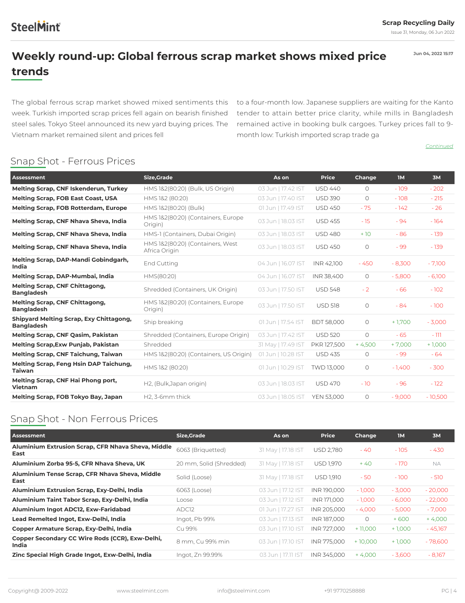## <span id="page-3-0"></span>**SteelMint**

**Jun 04, 2022 15:17**

### **Weekly round-up: Global ferrous scrap market shows mixed price trends**

The global ferrous scrap market showed mixed sentiments this week. Turkish imported scrap prices fell again on bearish finished steel sales. Tokyo Steel announced its new yard buying prices. The Vietnam market remained silent and prices fell

 to a four-month low. Japanese suppliers are waiting for the Kanto tender to attain better price clarity, while mills in Bangladesh remained active in booking bulk cargoes. Turkey prices fall to 9 month low: Turkish imported scrap trade ga

*[Continued](https://www.steelmint.com/insights/weekly-round-up-global-ferrous-scrap-market-shows-mixed-price-trends-323961)*

### Snap Shot - Ferrous Prices

| <b>Assessment</b>                                                   | <b>Size, Grade</b>                                | As on              | <b>Price</b>      | Change     | <b>IM</b> | 3M        |
|---------------------------------------------------------------------|---------------------------------------------------|--------------------|-------------------|------------|-----------|-----------|
| <b>Melting Scrap, CNF Iskenderun, Turkey</b>                        | HMS 1&2(80:20) (Bulk, US Origin)                  | 03 Jun   17.42 IST | <b>USD 440</b>    | $\circ$    | $-109$    | $-202$    |
| <b>Melting Scrap, FOB East Coast, USA</b>                           | HMS 1&2 (80:20)                                   | 03 Jun   17.40 IST | <b>USD 390</b>    | $\circ$    | $-108$    | $-215$    |
| <b>Melting Scrap, FOB Rotterdam, Europe</b>                         | HMS 1&2(80:20) (Bulk)                             | 01 Jun   17.49 IST | <b>USD 450</b>    | $-75$      | $-142$    | $-26$     |
| Melting Scrap, CNF Nhava Sheva, India                               | HMS 1&2(80:20) (Containers, Europe<br>Origin)     | 03 Jun   18.03 IST | <b>USD 455</b>    | $-15$      | $-94$     | $-164$    |
| Melting Scrap, CNF Nhava Sheva, India                               | HMS-1 (Containers, Dubai Origin)                  | 03 Jun   18.03 IST | <b>USD 480</b>    | $+10$      | $-86$     | $-139$    |
| Melting Scrap, CNF Nhava Sheva, India                               | HMS 1&2(80:20) (Containers, West<br>Africa Origin | 03 Jun   18.03 IST | <b>USD 450</b>    | $\bigcirc$ | $-99$     | $-139$    |
| Melting Scrap, DAP-Mandi Gobindgarh,<br>India                       | End Cutting                                       | 04 Jun   16.07 IST | INR 42,100        | $-450$     | $-8,300$  | $-7,100$  |
| Melting Scrap, DAP-Mumbai, India                                    | HMS(80:20)                                        | 04 Jun   16.07 IST | INR 38,400        | $\circ$    | $-5,800$  | $-6,100$  |
| <b>Melting Scrap, CNF Chittagong,</b><br><b>Bangladesh</b>          | Shredded (Containers, UK Origin)                  | 03 Jun   17.50 IST | <b>USD 548</b>    | $-2$       | $-66$     | $-102$    |
| <b>Melting Scrap, CNF Chittagong,</b><br><b>Bangladesh</b>          | HMS 1&2(80:20) (Containers, Europe<br>Origin)     | 03 Jun   17.50 IST | <b>USD 518</b>    | $\circ$    | $-84$     | $-100$    |
| <b>Shipyard Melting Scrap, Exy Chittagong,</b><br><b>Bangladesh</b> | Ship breaking                                     | 01 Jun   17.54 IST | <b>BDT 58,000</b> | $\circ$    | $+1,700$  | $-3,000$  |
| <b>Melting Scrap, CNF Qasim, Pakistan</b>                           | Shredded (Containers, Europe Origin)              | 03 Jun   17.42 IST | <b>USD 520</b>    | $\bigcirc$ | $-65$     | $-111$    |
| <b>Melting Scrap, Exw Punjab, Pakistan</b>                          | Shredded                                          | 31 May   17.49 IST | PKR 127,500       | $+4,500$   | $+7,000$  | $+1,000$  |
| <b>Melting Scrap, CNF Taichung, Taiwan</b>                          | HMS 1&2(80:20) (Containers, US Origin)            | 01 Jun   10.28 IST | <b>USD 435</b>    | $\bigcirc$ | $-99$     | $-64$     |
| Melting Scrap, Feng Hsin DAP Taichung,<br><b>Taiwan</b>             | HMS 1&2 (80:20)                                   | 01 Jun   10.29 IST | TWD 13,000        | $\bigcirc$ | $-1,400$  | $-300$    |
| Melting Scrap, CNF Hai Phong port,<br><b>Vietnam</b>                | H2, (Bulk, Japan origin)                          | 03 Jun   18.03 IST | <b>USD 470</b>    | $-10$      | $-96$     | $-122$    |
| Melting Scrap, FOB Tokyo Bay, Japan                                 | H2, 3-6mm thick                                   | 03 Jun   18.05 IST | <b>YEN 53,000</b> | $\circ$    | $-9,000$  | $-10,500$ |

### Snap Shot - Non Ferrous Prices

| Assessment                                                 | Size, Grade             | As on              | <b>Price</b>     | Change    | <b>IM</b> | 3M        |
|------------------------------------------------------------|-------------------------|--------------------|------------------|-----------|-----------|-----------|
| Aluminium Extrusion Scrap, CFR Nhava Sheva, Middle<br>East | 6063 (Briguetted)       | 31 May   17.18 IST | <b>USD 2,780</b> | - 40      | $-105$    | $-430$    |
| Aluminium Zorba 95-5, CFR Nhava Sheva, UK                  | 20 mm, Solid (Shredded) | 31 May   17.18 IST | USD 1,970        | $+40$     | - 170     | <b>NA</b> |
| Aluminium Tense Scrap, CFR Nhava Sheva, Middle<br>East     | Solid (Loose)           | 31 May   17.18 IST | USD 1,910        | $-50$     | $-100$    | $-510$    |
| Aluminium Extrusion Scrap, Exy-Delhi, India                | 6063 (Loose)            | 03 Jun   17.12 IST | INR 190,000      | $-1.000$  | $-3,000$  | $-20,000$ |
| Aluminium Taint Tabor Scrap, Exy-Delhi, India              | Loose                   | 03 Jun   17.12 IST | INR 171.000      | $-1,000$  | $-6,000$  | $-22,000$ |
| Aluminium Ingot ADC12, Exw-Faridabad                       | ADC <sub>12</sub>       | 01 Jun   17.27 IST | INR 205,000      | $-4,000$  | $-5,000$  | $-7,000$  |
| Lead Remelted Ingot, Exw-Delhi, India                      | Ingot, Pb 99%           | 03 Jun   17.13 IST | INR 187,000      | $\circ$   | $+600$    | $+4,000$  |
| Copper Armature Scrap, Exy-Delhi, India                    | Cu 99%                  | 03 Jun   17.10 IST | INR 727,000      | $+11,000$ | $+1,000$  | $-45,167$ |
| Copper Secondary CC Wire Rods (CCR), Exw-Delhi,<br>India   | 8 mm, Cu 99% min        | 03 Jun   17.10 IST | INR 775.000      | $+10,000$ | $+1,000$  | $-78,600$ |
| Zinc Special High Grade Ingot, Exw-Delhi, India            | Ingot, Zn 99.99%        | 03 Jun   17.11 IST | INR 345.000      | $+4,000$  | $-3,600$  | $-8,167$  |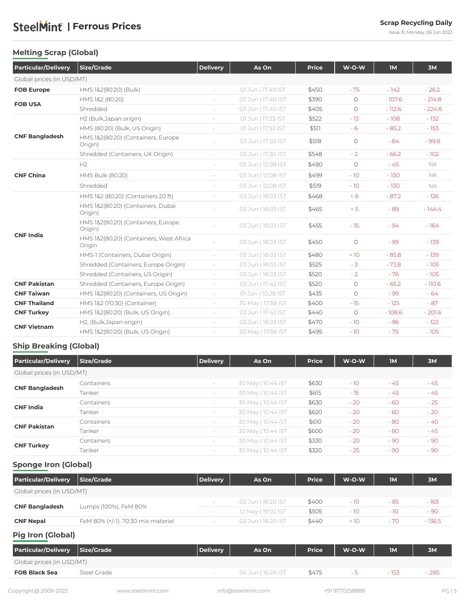Issue 31, Monday, 06 Jun 2022

### <span id="page-4-0"></span>**Melting Scrap (Global)**

| <b>Particular/Delivery</b>                                                                                                                                                                                                 | <b>Size/Grade</b>                                 | <b>Delivery</b>          | As On              | <b>Price</b> | W-O-W      | <b>IM</b> | 3M        |
|----------------------------------------------------------------------------------------------------------------------------------------------------------------------------------------------------------------------------|---------------------------------------------------|--------------------------|--------------------|--------------|------------|-----------|-----------|
|                                                                                                                                                                                                                            |                                                   |                          |                    |              |            |           |           |
| <b>FOB Europe</b>                                                                                                                                                                                                          | HMS 1&2(80:20) (Bulk)                             |                          | 01 Jun   17.49 IST | \$450        | $-75$      | $-142$    | $-26.2$   |
| Global prices (in USD/MT)<br><b>FOB USA</b><br><b>CNF Bangladesh</b><br><b>CNF China</b><br><b>CNF India</b><br><b>CNF Pakistan</b><br><b>CNF Taiwan</b><br><b>CNF Thailand</b><br><b>CNF Turkey</b><br><b>CNF Vietnam</b> | HMS 1&2 (80:20)                                   | $\overline{a}$           | 03 Jun   17.40 IST | \$390        | $\bigcirc$ | $-107.6$  | $-214.8$  |
|                                                                                                                                                                                                                            | Shredded                                          | $\overline{\phantom{a}}$ | 03 Jun   17.40 IST | \$405        | $\circ$    | $-112.6$  | $-224.8$  |
|                                                                                                                                                                                                                            | H2 (Bulk, Japan origin)                           | i.                       | 01 Jun   17.53 IST | \$522        | $-13$      | $-108$    | $-132$    |
|                                                                                                                                                                                                                            | HMS (80:20) (Bulk, US Origin)                     | $\sim$                   | 01 Jun   17.53 IST | \$511        | $-6$       | $-85.2$   | $-153$    |
|                                                                                                                                                                                                                            | HMS 1&2(80:20) (Containers, Europe<br>Origin)     |                          | 03 Jun   17.50 IST | \$518        | $\bigcirc$ | $-84$     | $-99.8$   |
|                                                                                                                                                                                                                            | Shredded (Containers, UK Origin)                  | $ \,$                    | 03 Jun   17.50 IST | \$548        | $-2$       | $-66.2$   | $-102$    |
|                                                                                                                                                                                                                            | H2                                                | $\overline{\phantom{a}}$ | 03 Jun   12.08 IST | \$490        | $\bigcirc$ | $-45$     | <b>NA</b> |
|                                                                                                                                                                                                                            | <b>HMS Bulk (80:20)</b>                           | $\overline{\phantom{a}}$ | 03 Jun   12.08 IST | \$499        | $-10$      | $-130$    | <b>NA</b> |
|                                                                                                                                                                                                                            | Shredded                                          | $\overline{\phantom{a}}$ | 03 Jun   12.08 IST | \$519        | $-10$      | $-130$    | <b>NA</b> |
|                                                                                                                                                                                                                            | HMS 1&2 (80:20) (Containers 20 ft)                | $\overline{\phantom{0}}$ | 03 Jun   18.03 IST | \$468        | $+8$       | $-87.2$   | $-126$    |
|                                                                                                                                                                                                                            | HMS 1&2(80:20) (Containers, Dubai<br>Origin)      |                          | 03 Jun   18.03 IST | \$465        | $+5$       | $-89$     | $-144.4$  |
|                                                                                                                                                                                                                            | HMS 1&2(80:20) (Containers, Europe<br>Origin)     |                          | 03 Jun   18.03 IST | \$455        | $-15$      | $-94$     | $-164$    |
|                                                                                                                                                                                                                            | HMS 1&2(80:20) (Containers, West Africa<br>Origin |                          | 03 Jun   18.03 IST | \$450        | $\bigcirc$ | $-99$     | $-139$    |
|                                                                                                                                                                                                                            | HMS-1 (Containers, Dubai Origin)                  | $\overline{a}$           | 03 Jun   18.03 IST | \$480        | $+10$      | $-85.8$   | $-139$    |
|                                                                                                                                                                                                                            | Shredded (Containers, Europe Origin)              | $\overline{\phantom{a}}$ | 03 Jun   18.03 IST | \$525        | $-3$       | $-73.8$   | $-105$    |
|                                                                                                                                                                                                                            | Shredded (Containers, US Origin)                  | $\sim$                   | 03 Jun   18.03 IST | \$520        | $-2$       | $-76$     | $-105$    |
|                                                                                                                                                                                                                            | Shredded (Containers, Europe Origin)              | $\sim$                   | 03 Jun   17.42 IST | \$520        | $\bigcirc$ | $-65.2$   | $-110.6$  |
|                                                                                                                                                                                                                            | HMS 1&2(80:20) (Containers, US Origin)            | $\overline{\phantom{a}}$ | 01 Jun   10.28 IST | \$435        | $\bigcirc$ | $-99$     | $-64$     |
|                                                                                                                                                                                                                            | HMS 1&2 (70:30) (Container)                       | $\sim$                   | 30 May   17.58 IST | \$400        | $-15$      | $-125$    | $-87$     |
|                                                                                                                                                                                                                            | HMS 1&2(80:20) (Bulk, US Origin)                  | $\overline{\phantom{a}}$ | 03 Jun   17.42 IST | \$440        | $\bigcirc$ | $-108.6$  | $-201.6$  |
|                                                                                                                                                                                                                            | H2, (Bulk, Japan origin)                          |                          | 03 Jun   18.03 IST | \$470        | $-10$      | $-96$     | $-122$    |
|                                                                                                                                                                                                                            | HMS 1&2(80:20) (Bulk, US Origin)                  |                          | 30 May   17.58 IST | \$495        | $-10$      | $-75$     | $-105$    |

### **Ship Breaking (Global)**

| <b>Particular/Delivery</b> | Size/Grade | <b>Delivery</b>          | As On              | <b>Price</b> | $W-O-W$ | <b>IM</b> | <b>3M</b> |
|----------------------------|------------|--------------------------|--------------------|--------------|---------|-----------|-----------|
| Global prices (in USD/MT)  |            |                          |                    |              |         |           |           |
|                            | Containers | $\overline{\phantom{a}}$ | 30 May   10.44 IST | \$630        | $-10$   | - 45      | $-45$     |
| <b>CNF Bangladesh</b>      | Tanker     | $\sim$                   | 30 May   10.44 IST | \$615        | $-15$   | - 45      | $-45$     |
|                            | Containers | $\sim$                   | 30 May   10.44 IST | \$630        | $-20$   | $-60$     | $-25$     |
| <b>CNF India</b>           | Tanker     | $\sim$                   | 30 May   10.44 IST | \$620        | $-20$   | $-60$     | $-20$     |
|                            | Containers | $\sim$                   | 30 May   10.44 IST | \$610        | $-20$   | $-80$     | $-40$     |
| <b>CNF Pakistan</b>        | Tanker     | $\overline{\phantom{a}}$ | 30 May   10.44 IST | \$600        | $-20$   | $-80$     | $-45$     |
|                            | Containers | $\sim$                   | 30 May   10.44 IST | \$330        | $-20$   | $-90$     | $-90$     |
| <b>CNF Turkey</b>          | Tanker     | $-$                      | 30 May   10.44 IST | \$320        | $-25$   | $-90$     | $-90$     |

### **Sponge Iron (Global)**

| <b>Particular/Delivery</b> | <b>Size/Grade</b>                  | Delivery                 | As On              | <b>Price</b> | $W-O-W$ | <b>IM</b> | 3M       |
|----------------------------|------------------------------------|--------------------------|--------------------|--------------|---------|-----------|----------|
| Global prices (in USD/MT)  |                                    |                          |                    |              |         |           |          |
|                            | Lumps (100%), FeM 80%              |                          | 02 Jun   18.20 IST | \$400        | - 10    | - 85      | $-165$   |
| <b>CNF Bangladesh</b>      |                                    | $\overline{\phantom{a}}$ | 12 May   19.02 IST | \$505        | $-10$   | - 10      | $-90$    |
| <b>CNF Nepal</b>           | FeM 80% (+/-1), 70:30 mix material |                          | 02 Jun   18.20 IST | \$440        | $+10$   | - 70      | $-136.5$ |
|                            |                                    |                          |                    |              |         |           |          |

### **Pig Iron (Global)**

| <b>Particular/Delivery</b> | Size/Grade  | <b>Delivery</b> | As On              | <b>Price</b> | W-O-W | IM     | 3M    |
|----------------------------|-------------|-----------------|--------------------|--------------|-------|--------|-------|
| Global prices (in USD/MT)  |             |                 |                    |              |       |        |       |
| <b>FOB Black Sea</b>       | Steel Grade |                 | 04 Jun   16.24 IST | \$475        |       | $-153$ | - 285 |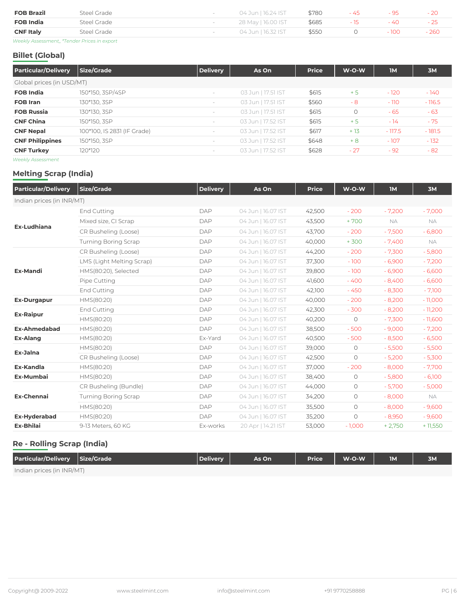| <b>FOB Brazil</b>                            | Steel Grade | 04 Jun   16.24 IST | \$780 | - 45 | - 95   | $-20$  |
|----------------------------------------------|-------------|--------------------|-------|------|--------|--------|
| <b>FOB India</b>                             | Steel Grade | 28 May   16.00 IST | \$685 |      | $-4()$ | - 25   |
| <b>CNF Italy</b>                             | Steel Grade | 04 Jun   16.32 IST | \$550 |      | - 100  | $-260$ |
| Weekly Assessment,, *Tender Prices in export |             |                    |       |      |        |        |

### **Billet (Global)**

| <b>Particular/Delivery</b> | <b>Size/Grade</b>           | <b>Delivery</b>                 | As On              | <b>Price</b> | $W-O-W$ | <b>IM</b> | <b>3M</b> |
|----------------------------|-----------------------------|---------------------------------|--------------------|--------------|---------|-----------|-----------|
| Global prices (in USD/MT)  |                             |                                 |                    |              |         |           |           |
| <b>FOB India</b>           | 150*150, 3SP/4SP            | $\sim$                          | 03 Jun   17.51 IST | \$615        | $+5$    | $-120$    | $-140$    |
| <b>FOB Iran</b>            | 130*130, 3SP                | $\sim$                          | 03 Jun   17.51 IST | \$560        | - 8     | $-110$    | $-116.5$  |
| <b>FOB Russia</b>          | 130*130, 3SP                | $\hspace{0.1mm}-\hspace{0.1mm}$ | 03 Jun   17.51 IST | \$615        | $\circ$ | - 65      | $-63$     |
| <b>CNF China</b>           | 150*150, 3SP                | $\sim$                          | 03 Jun   17.52 IST | \$615        | $+5$    | $-14$     | $-75$     |
| <b>CNF Nepal</b>           | 100*100, IS 2831 (IF Grade) | $\overline{\phantom{a}}$        | 03 Jun   17.52 IST | \$617        | $+13$   | $-117.5$  | $-181.5$  |
| <b>CNF Philippines</b>     | 150*150, 3SP                | $\overline{\phantom{a}}$        | 03 Jun   17.52 IST | \$648        | $+8$    | $-107$    | $-132$    |
| <b>CNF Turkey</b>          | 120*120                     | $\sim$                          | 03 Jun   17.52 IST | \$628        | $-27$   | $-92$     | $-82$     |
| $\cdots$                   |                             |                                 |                    |              |         |           |           |

*Weekly Assessment*

### **Melting Scrap (India)**

| <b>Particular/Delivery</b> | <b>Size/Grade</b>           | <b>Delivery</b> | As On              | <b>Price</b> | W-O-W      | <b>IM</b> | 3M        |
|----------------------------|-----------------------------|-----------------|--------------------|--------------|------------|-----------|-----------|
| Indian prices (in INR/MT)  |                             |                 |                    |              |            |           |           |
|                            | End Cutting                 | <b>DAP</b>      | 04 Jun   16.07 IST | 42,500       | $-200$     | $-7,200$  | $-7,000$  |
|                            | Mixed size, CI Scrap        | <b>DAP</b>      | 04 Jun   16.07 IST | 43,500       | $+700$     | NA        | NA.       |
| <b>Ex-Ludhiana</b>         | CR Busheling (Loose)        | <b>DAP</b>      | 04 Jun   16.07 IST | 43,700       | $-200$     | $-7,500$  | $-6,800$  |
|                            | <b>Turning Boring Scrap</b> | <b>DAP</b>      | 04 Jun   16.07 IST | 40,000       | $+300$     | $-7,400$  | NA        |
|                            | CR Busheling (Loose)        | <b>DAP</b>      | 04 Jun   16.07 IST | 44,200       | $-200$     | $-7,300$  | $-5,800$  |
|                            | LMS (Light Melting Scrap)   | <b>DAP</b>      | 04 Jun   16.07 IST | 37,300       | $-100$     | $-6,900$  | $-7,200$  |
| <b>Ex-Mandi</b>            | HMS(80:20), Selected        | <b>DAP</b>      | 04 Jun   16.07 IST | 39,800       | $-100$     | $-6,900$  | $-6,600$  |
|                            | Pipe Cutting                | <b>DAP</b>      | 04 Jun   16.07 IST | 41,600       | $-400$     | $-8,400$  | $-6,600$  |
|                            | End Cutting                 | DAP             | 04 Jun   16.07 IST | 42,100       | $-450$     | $-8,300$  | $-7,100$  |
| <b>Ex-Durgapur</b>         | HMS(80:20)                  | <b>DAP</b>      | 04 Jun   16.07 IST | 40,000       | $-200$     | $-8,200$  | $-11,000$ |
|                            | End Cutting                 | <b>DAP</b>      | 04 Jun   16.07 IST | 42,300       | $-300$     | $-8,200$  | $-11,200$ |
| <b>Ex-Raipur</b>           | HMS(80:20)                  | <b>DAP</b>      | 04 Jun   16.07 IST | 40,200       | $\circ$    | $-7,300$  | $-11,600$ |
| <b>Ex-Ahmedabad</b>        | HMS(80:20)                  | DAP             | 04 Jun   16.07 IST | 38,500       | $-500$     | $-9,000$  | $-7,200$  |
| <b>Ex-Alang</b>            | HMS(80:20)                  | Ex-Yard         | 04 Jun   16.07 IST | 40,500       | $-500$     | $-8,500$  | $-6,500$  |
| Ex-Jalna                   | HMS(80:20)                  | <b>DAP</b>      | 04 Jun   16.07 IST | 39,000       | $\circ$    | $-5,500$  | $-5,500$  |
|                            | CR Busheling (Loose)        | <b>DAP</b>      | 04 Jun   16.07 IST | 42,500       | $\circ$    | $-5,200$  | $-5,300$  |
| <b>Ex-Kandla</b>           | HMS(80:20)                  | <b>DAP</b>      | 04 Jun   16.07 IST | 37,000       | $-200$     | $-8,000$  | $-7,700$  |
| Ex-Mumbai                  | HMS(80:20)                  | <b>DAP</b>      | 04 Jun   16.07 IST | 38,400       | $\circ$    | $-5,800$  | $-6,100$  |
|                            | CR Busheling (Bundle)       | <b>DAP</b>      | 04 Jun   16.07 IST | 44,000       | $\circ$    | $-5,700$  | $-5,000$  |
| <b>Ex-Chennai</b>          | <b>Turning Boring Scrap</b> | <b>DAP</b>      | 04 Jun   16.07 IST | 34,200       | $\circ$    | $-8,000$  | NA        |
|                            | HMS(80:20)                  | <b>DAP</b>      | 04 Jun   16.07 IST | 35,500       | $\circ$    | $-8,000$  | $-9,600$  |
| <b>Ex-Hyderabad</b>        | HMS(80:20)                  | <b>DAP</b>      | 04 Jun   16.07 IST | 35,200       | $\bigcirc$ | $-8,950$  | $-9,600$  |
| <b>Ex-Bhilai</b>           | 9-13 Meters, 60 KG          | Ex-works        | 20 Apr   14.21 IST | 53,000       | $-1,000$   | $+2,750$  | $+11,550$ |

### **Re - Rolling Scrap (India)**

| Particular/Delivery Size/Grade | Delivery | As On | <b>Price</b> | W-O-W | <b>IM</b> | 3M |
|--------------------------------|----------|-------|--------------|-------|-----------|----|
| Indian prices (in INR/MT)      |          |       |              |       |           |    |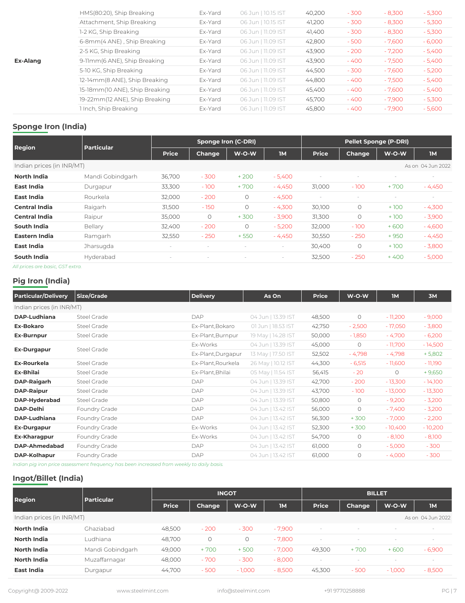|                 | HMS(80:20), Ship Breaking      | Ex-Yard | 06 Jun   10.15 IST | 40,200 | $-300$ | $-8,300$ | $-5,300$ |
|-----------------|--------------------------------|---------|--------------------|--------|--------|----------|----------|
|                 | Attachment, Ship Breaking      | Ex-Yard | 06 Jun   10.15 IST | 41,200 | $-300$ | $-8,300$ | $-5,300$ |
|                 | 1-2 KG, Ship Breaking          | Ex-Yard | 06 Jun   11.09 IST | 41,400 | $-300$ | $-8,300$ | $-5,300$ |
|                 | 6-8mm(4 ANE), Ship Breaking    | Ex-Yard | 06 Jun   11.09 IST | 42,800 | $-500$ | $-7,600$ | $-6,000$ |
|                 | 2-5 KG, Ship Breaking          | Ex-Yard | 06 Jun   11.09 IST | 43,900 | $-200$ | $-7,200$ | $-5,400$ |
| <b>Ex-Alang</b> | 9-11mm(6 ANE), Ship Breaking   | Ex-Yard | 06 Jun   11.09 IST | 43,900 | $-400$ | $-7,500$ | $-5,400$ |
|                 | 5-10 KG, Ship Breaking         | Ex-Yard | 06 Jun   11.09 IST | 44,500 | $-300$ | $-7,600$ | $-5,200$ |
|                 | 12-14mm(8 ANE), Ship Breaking  | Ex-Yard | 06 Jun   11.09 IST | 44,800 | $-400$ | $-7,500$ | $-5,400$ |
|                 | 15-18mm(10 ANE), Ship Breaking | Ex-Yard | 06 Jun   11.09 IST | 45,400 | $-400$ | $-7,600$ | $-5,400$ |
|                 | 19-22mm(12 ANE), Ship Breaking | Ex-Yard | 06 Jun   11.09 IST | 45,700 | $-400$ | $-7,900$ | $-5,300$ |
|                 | 1 Inch, Ship Breaking          | Ex-Yard | 06 Jun   11.09 IST | 45,800 | $-400$ | $-7,900$ | $-5,600$ |
|                 |                                |         |                    |        |        |          |          |

### **Sponge Iron (India)**

|                                |                   |                   | <b>Sponge Iron (C-DRI)</b> |                   |           |                          | <b>Pellet Sponge (P-DRI)</b> |                          |                   |  |
|--------------------------------|-------------------|-------------------|----------------------------|-------------------|-----------|--------------------------|------------------------------|--------------------------|-------------------|--|
| <b>Region</b>                  | <b>Particular</b> | <b>Price</b>      | <b>Change</b>              | W-O-W             | <b>IM</b> | <b>Price</b>             | <b>Change</b>                | W-O-W                    | <b>IM</b>         |  |
| Indian prices (in INR/MT)      |                   |                   |                            |                   |           |                          |                              |                          | As on 04 Jun 2022 |  |
| <b>North India</b>             | Mandi Gobindgarh  | 36,700            | $-300$                     | $+200$            | $-5,400$  | $\overline{\phantom{a}}$ |                              | $\overline{\phantom{a}}$ |                   |  |
| East India                     | Durgapur          | 33,300            | $-100$                     | $+700$            | $-4,450$  | 31,000                   | $-100$                       | +700                     | $-4,450$          |  |
| East India                     | Rourkela          | 32,000            | $-200$                     | $\circ$           | $-4,500$  |                          |                              |                          | $\sim$            |  |
| <b>Central India</b>           | Raigarh           | 31,500            | $-150$                     | $\circ$           | $-4,300$  | 30,100                   | $\circ$                      | $+100$                   | $-4,300$          |  |
| <b>Central India</b>           | Raipur            | 35,000            | $\circ$                    | $+300$            | $-3,900$  | 31,300                   | $\circ$                      | $+100$                   | $-3,900$          |  |
| <b>South India</b>             | Bellary           | 32,400            | $-200$                     | $\circ$           | $-5,200$  | 32,000                   | $-100$                       | $+600$                   | $-4,600$          |  |
| Eastern India                  | Ramgarh           | 32,550            | $-250$                     | $+550$            | $-4,450$  | 30,550                   | $-250$                       | $+950$                   | $-4,450$          |  |
| East India                     | Jharsugda         | $\sim$            |                            |                   | $\sim$    | 30,400                   | $\circ$                      | $+100$                   | $-3,800$          |  |
| <b>South India</b>             | Hyderabad         | $\qquad \qquad =$ | $\overline{\phantom{a}}$   | $\qquad \qquad =$ | $\sim$    | 32,500                   | $-250$                       | $+400$                   | $-5,000$          |  |
| All prices are basis CCT outra |                   |                   |                            |                   |           |                          |                              |                          |                   |  |

*All prices are basic, GST extra.*

### **Pig Iron (India)**

| <b>Particular/Delivery</b> | <b>Size/Grade</b> | <b>Delivery</b>    | As On              | <b>Price</b> | W-O-W    | <b>1M</b> | 3M        |
|----------------------------|-------------------|--------------------|--------------------|--------------|----------|-----------|-----------|
| Indian prices (in INR/MT)  |                   |                    |                    |              |          |           |           |
| <b>DAP-Ludhiana</b>        | Steel Grade       | DAP                | 04 Jun   13.39 IST | 48,500       | $\circ$  | $-11,200$ | $-9,000$  |
| <b>Ex-Bokaro</b>           | Steel Grade       | Ex-Plant, Bokaro   | 01 Jun   18.53 IST | 42,750       | $-2,500$ | $-17,050$ | $-3,800$  |
| <b>Ex-Burnpur</b>          | Steel Grade       | Ex-Plant, Burnpur  | 19 May   14.28 IST | 50,000       | $-1,850$ | $-4,700$  | $-6,200$  |
|                            | Steel Grade       | Ex-Works           | 04 Jun   13.39 IST | 45,000       | $\circ$  | $-11,700$ | $-14,500$ |
| <b>Ex-Durgapur</b>         |                   | Ex-Plant, Durgapur | 13 May   17.50 IST | 52,502       | $-4,798$ | $-4,798$  | $+5,802$  |
| <b>Ex-Rourkela</b>         | Steel Grade       | Ex-Plant, Rourkela | 26 May   10.12 IST | 44,300       | $-6,515$ | $-11,600$ | - 11,190  |
| <b>Ex-Bhilai</b>           | Steel Grade       | Ex-Plant, Bhilai   | 05 May   11.54 IST | 56,415       | $-20$    | $\circ$   | $+9,650$  |
| <b>DAP-Raigarh</b>         | Steel Grade       | <b>DAP</b>         | 04 Jun   13.39 IST | 42,700       | $-200$   | $-13,300$ | $-14,100$ |
| <b>DAP-Raipur</b>          | Steel Grade       | <b>DAP</b>         | 04 Jun   13.39 IST | 43,700       | $-100$   | $-13,000$ | $-13,300$ |
| DAP-Hyderabad              | Steel Grade       | <b>DAP</b>         | 04 Jun   13.39 IST | 50,800       | $\circ$  | $-9,200$  | $-3,200$  |
| <b>DAP-Delhi</b>           | Foundry Grade     | <b>DAP</b>         | 04 Jun   13.42 IST | 56,000       | $\circ$  | $-7,400$  | $-3,200$  |
| <b>DAP-Ludhiana</b>        | Foundry Grade     | <b>DAP</b>         | 04 Jun   13.42 IST | 56,300       | $+300$   | $-7,000$  | $-2,200$  |
| <b>Ex-Durgapur</b>         | Foundry Grade     | Ex-Works           | 04 Jun   13.42 IST | 52,300       | $+300$   | $-10,400$ | $-10,200$ |
| Ex-Kharagpur               | Foundry Grade     | Ex-Works           | 04 Jun   13.42 IST | 54,700       | $\circ$  | $-8,100$  | $-8,100$  |
| DAP-Ahmedabad              | Foundry Grade     | DAP                | 04 Jun   13.42 IST | 61,000       | $\circ$  | $-5,000$  | $-300$    |
| DAP-Kolhapur               | Foundry Grade     | DAP                | 04 Jun   13.42 IST | 61,000       | $\circ$  | $-4,000$  | $-300$    |

*Indian pig iron price assessment frequency has been increased from weekly to daily basis.*

### **Ingot/Billet (India)**

| <b>Region</b>             | <b>Particular</b> | <b>INGOT</b> |               |          |           | <b>BILLET</b>            |               |          |                          |
|---------------------------|-------------------|--------------|---------------|----------|-----------|--------------------------|---------------|----------|--------------------------|
|                           |                   | <b>Price</b> | <b>Change</b> | W-O-W    | <b>IM</b> | <b>Price</b>             | <b>Change</b> | $W-O-W$  | <b>IM</b>                |
| Indian prices (in INR/MT) |                   |              |               |          |           |                          |               |          | As on 04 Jun 2022        |
| <b>North India</b>        | Ghaziabad         | 48,500       | $-200$        | $-300$   | $-7,900$  | $\overline{\phantom{a}}$ | <b>140</b>    |          | $\sim$                   |
| North India               | Ludhiana          | 48,700       | $\circ$       | $\circ$  | - 7,800   |                          |               |          | $\overline{\phantom{a}}$ |
| North India               | Mandi Gobindgarh  | 49,000       | $+700$        | $+500$   | $-7,000$  | 49,300                   | + 700         | $+600$   | $-6,900$                 |
| North India               | Muzaffarnagar     | 48,000       | $-700$        | $-300$   | $-8,000$  | $\overline{\phantom{a}}$ |               |          | $\sim$                   |
| <b>East India</b>         | Durgapur          | 44,700       | $-500$        | $-1,000$ | $-8,500$  | 45,300                   | $-500$        | $-1,000$ | $-8,500$                 |

Copyright@ 2009-2022 www.steelmint.com info@steelmint.com +91 9770258888 PG | 7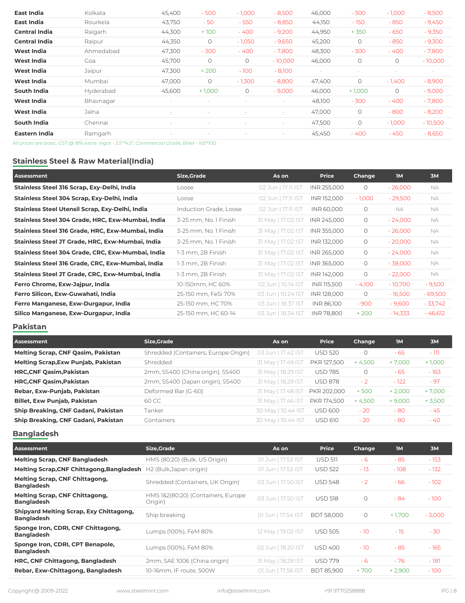| East India           | Kolkata   | 45,400            | $-500$   | $-1,000$ | $-8,500$                 | 46,000 | $-500$   | $-1,000$ | $-8,500$  |
|----------------------|-----------|-------------------|----------|----------|--------------------------|--------|----------|----------|-----------|
| East India           | Rourkela  | 43,750            | $-50$    | $-550$   | $-8,850$                 | 44,150 | $-150$   | $-850$   | $-9,450$  |
| <b>Central India</b> | Raigarh   | 44,300            | $+100$   | $-400$   | $-9,200$                 | 44,950 | $+350$   | $-650$   | $-9,350$  |
| <b>Central India</b> | Raipur    | 44,350            | $\circ$  | $-1,050$ | $-9,650$                 | 45,200 | $\circ$  | $-850$   | $-9,300$  |
| <b>West India</b>    | Ahmedabad | 47,300            | $-300$   | $-400$   | $-7,800$                 | 48,300 | $-300$   | $-400$   | $-7,800$  |
| <b>West India</b>    | Goa       | 45,700            | $\circ$  | $\circ$  | $-10,000$                | 46,000 | $\circ$  | $\circ$  | $-10,000$ |
| <b>West India</b>    | Jaipur    | 47,300            | $+200$   | $-100$   | $-8,100$                 |        |          |          | $\sim$    |
| West India           | Mumbai    | 47,000            | $\circ$  | $-1,300$ | $-8,800$                 | 47,400 | $\circ$  | $-1,400$ | $-8,900$  |
| <b>South India</b>   | Hyderabad | 45,600            | $+1,000$ | $\circ$  | $-9,000$                 | 46,000 | $+1,000$ | $\circ$  | $-9,000$  |
| <b>West India</b>    | Bhavnagar | $\qquad \qquad =$ |          |          | $\overline{\phantom{a}}$ | 48,100 | $-300$   | $-400$   | $-7,800$  |
| <b>West India</b>    | Jalna     |                   |          |          | $\overline{\phantom{0}}$ | 47,000 | $\circ$  | $-800$   | $-8,200$  |
| <b>South India</b>   | Chennai   |                   |          |          |                          | 47,500 | $\circ$  | $-1,000$ | $-10,500$ |
| Eastern India        | Ramgarh   |                   |          |          |                          | 45,450 | - 400    | $-450$   | $-8,650$  |
|                      |           |                   |          |          |                          |        |          |          |           |

*All prices are basic, GST @ 18% extra. Ingot - 3.5"\*4.5", Commercial Grade, Billet - 100\*100*

### **Stainless Steel & Raw Material(India)**

| Assessment                                        | Size, Grade            | As on              | <b>Price</b> | Change   | <b>IM</b> | <b>3M</b> |
|---------------------------------------------------|------------------------|--------------------|--------------|----------|-----------|-----------|
| Stainless Steel 316 Scrap, Exy-Delhi, India       | Loose                  | 02 Jun   17.11 IST | INR 255,000  | $\circ$  | $-26,000$ | <b>NA</b> |
| Stainless Steel 304 Scrap, Exy-Delhi, India       | Loose                  | 02 Jun   17.11 IST | INR 152,000  | $-1,000$ | $-29,500$ | <b>NA</b> |
| Stainless Steel Utensil Scrap, Exy-Delhi, India   | Induction Grade, Loose | 02 Jun   17.11 IST | INR 60,000   | $\circ$  | <b>NA</b> | <b>NA</b> |
| Stainless Steel 304 Grade, HRC, Exw-Mumbai, India | 3-25 mm, No. 1 Finish  | 31 May   17.02 IST | INR 245,000  | $\circ$  | $-24,000$ | <b>NA</b> |
| Stainless Steel 316 Grade, HRC, Exw-Mumbai, India | 3-25 mm, No. 1 Finish  | 31 May   17.02 IST | INR 355,000  | 0        | $-26,000$ | <b>NA</b> |
| Stainless Steel JT Grade, HRC, Exw-Mumbai, India  | 3-25 mm, No. 1 Finish  | 31 May   17.02 IST | INR 132,000  | 0        | $-20,000$ | <b>NA</b> |
| Stainless Steel 304 Grade, CRC, Exw-Mumbai, India | 1-3 mm, 2B Finish      | 31 May   17.02 IST | INR 265,000  | $\circ$  | $-24,000$ | <b>NA</b> |
| Stainless Steel 316 Grade, CRC, Exw-Mumbai, India | 1-3 mm, 2B Finish      | 31 May   17.02 IST | INR 365,000  | 0        | $-38,000$ | <b>NA</b> |
| Stainless Steel JT Grade, CRC, Exw-Mumbai, India  | 1-3 mm, 2B Finish      | 31 May   17.02 IST | INR 142,000  | $\circ$  | $-22,000$ | NA.       |
| Ferro Chrome, Exw-Jajpur, India                   | 10-150mm, HC 60%       | 02 Jun   10.14 IST | INR 115,500  | $-4,100$ | $-10,700$ | $-9,500$  |
| Ferro Silicon, Exw-Guwahati, India                | 25-150 mm, FeSi 70%    | 03 Jun   10.24 IST | INR 128,000  | $\circ$  | $-16,500$ | $-69,500$ |
| Ferro Manganese, Exw-Durgapur, India              | 25-150 mm, HC 70%      | 03 Jun   18.37 IST | INR 86,100   | $-900$   | $-9,600$  | $-33,742$ |
| Silico Manganese, Exw-Durgapur, India             | 25-150 mm, HC 60-14    | 03 Jun   18.34 IST | INR 78.800   | $+200$   | $-14,333$ | $-46,612$ |

### **Pakistan**

| Assessment                                 | <b>Size, Grade</b>                   | As on              | <b>Price</b>   | <b>Change</b> | <b>IM</b> | 3M       |
|--------------------------------------------|--------------------------------------|--------------------|----------------|---------------|-----------|----------|
| <b>Melting Scrap, CNF Qasim, Pakistan</b>  | Shredded (Containers, Europe Origin) | 03 Jun   17.42 IST | <b>USD 520</b> | $\circ$       | $-65$     | $-111$   |
| <b>Melting Scrap, Exw Punjab, Pakistan</b> | Shredded                             | 31 May   17.49 IST | PKR 127,500    | $+4,500$      | $+7,000$  | $+1,000$ |
| <b>HRC, CNF Qasim, Pakistan</b>            | 2mm, SS400 (China origin), SS400     | 31 May   18.29 IST | <b>USD 785</b> | $\circ$       | $-65$     | $-163$   |
| <b>HRC, CNF Qasim, Pakistan</b>            | 2mm, SS400 (Japan origin), SS400     | 31 May   18.29 IST | <b>USD 878</b> | $-2$          | $-122$    | $-97$    |
| Rebar, Exw-Punjab, Pakistan                | Deformed Bar (G-60)                  | 31 May   17.48 IST | PKR 202,000    | $+500$        | $+2,000$  | $+7,000$ |
| <b>Billet, Exw Punjab, Pakistan</b>        | 60 CC                                | 31 May   17.46 IST | PKR 174,500    | $+4,500$      | $+9,000$  | $+3,500$ |
| Ship Breaking, CNF Gadani, Pakistan        | Tanker                               | 30 May   10.44 IST | <b>USD 600</b> | $-20$         | $-80$     | $-45$    |
| Ship Breaking, CNF Gadani, Pakistan        | Containers                           | 30 May   10.44 IST | <b>USD 610</b> | $-20$         | $-80$     | $-40$    |

### **Bangladesh**

| <b>Assessment</b>                                                   | <b>Size, Grade</b>                            | As on              | <b>Price</b>      | Change  | <b>IM</b> | 3M       |
|---------------------------------------------------------------------|-----------------------------------------------|--------------------|-------------------|---------|-----------|----------|
| <b>Melting Scrap, CNF Bangladesh</b>                                | HMS (80:20) (Bulk, US Origin)                 | 01 Jun   17.53 IST | USD 511           | - 6     | $-85$     | $-153$   |
| Melting Scrap, CNF Chittagong, Bangladesh                           | H2 (Bulk, Japan origin)                       | 01 Jun   17.53 IST | <b>USD 522</b>    | $-13$   | $-108$    | $-132$   |
| <b>Melting Scrap, CNF Chittagong,</b><br><b>Bangladesh</b>          | Shredded (Containers, UK Origin)              | 03 Jun   17.50 IST | <b>USD 548</b>    | $-2$    | $-66$     | $-102$   |
| <b>Melting Scrap, CNF Chittagong,</b><br><b>Bangladesh</b>          | HMS 1&2(80:20) (Containers, Europe<br>Origin) | 03 Jun   17.50 IST | <b>USD 518</b>    | $\circ$ | - 84      | $-100$   |
| <b>Shipyard Melting Scrap, Exy Chittagong,</b><br><b>Bangladesh</b> | Ship breaking                                 | 01 Jun   17.54 IST | <b>BDT 58,000</b> | $\circ$ | $+1,700$  | $-3,000$ |
| Sponge Iron, CDRI, CNF Chittagong,<br><b>Bangladesh</b>             | Lumps (100%), FeM 80%                         | 12 May   19.02 IST | <b>USD 505</b>    | $-10$   | $-15$     | $-30$    |
| Sponge Iron, CDRI, CPT Benapole,<br><b>Bangladesh</b>               | Lumps (100%), FeM 80%                         | 02 Jun   18.20 IST | <b>USD 400</b>    | $-10$   | $-85$     | $-165$   |
| HRC, CNF Chittagong, Bangladesh                                     | 2mm, SAE 1006 (China origin)                  | 31 May   18.29 IST | <b>USD 779</b>    | $-6$    | - 76      | $-181$   |
| Rebar, Exw-Chittagong, Bangladesh                                   | 10-16mm, IF route, 500W                       | 01 Jun   17.56 IST | <b>BDT 85.900</b> | $+700$  | $+2,900$  | $-100$   |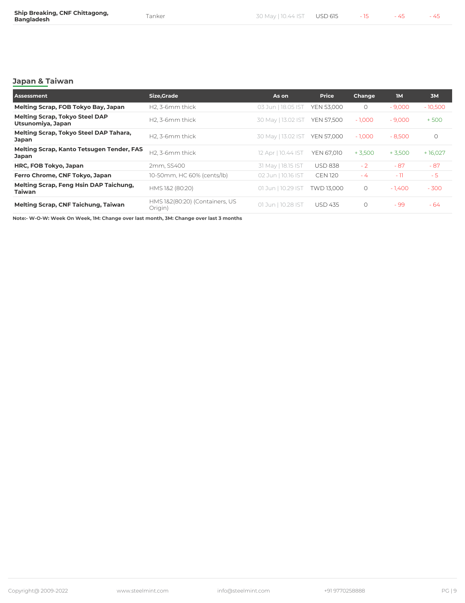### **Japan & Taiwan**

| Assessment                                                       | Size, Grade                               | As on              | <b>Price</b>      | Change   | <b>IM</b> | 3M        |
|------------------------------------------------------------------|-------------------------------------------|--------------------|-------------------|----------|-----------|-----------|
| Melting Scrap, FOB Tokyo Bay, Japan                              | H2, 3-6mm thick                           | 03 Jun   18.05 IST | <b>YEN 53,000</b> | $\circ$  | $-9,000$  | $-10,500$ |
| <b>Melting Scrap, Tokyo Steel DAP</b><br>Utsunomiya, Japan       | H <sub>2</sub> , 3-6 <sub>mm</sub> thick  | 30 May   13.02 IST | <b>YEN 57,500</b> | $-1,000$ | $-9,000$  | $+500$    |
| Melting Scrap, Tokyo Steel DAP Tahara,<br><b>Japan</b>           | H <sub>2</sub> , 3-6 <sub>mm</sub> thick  | 30 May   13.02 IST | <b>YEN 57,000</b> | $-1,000$ | $-8,500$  | $\circ$   |
| <b>Melting Scrap, Kanto Tetsugen Tender, FAS</b><br><b>Japan</b> | H <sub>2</sub> , 3-6 <sub>mm</sub> thick  | 12 Apr   10.44 IST | YEN 67,010        | $+3,500$ | $+3,500$  | + 16,027  |
| HRC, FOB Tokyo, Japan                                            | 2mm, SS400                                | 31 May   18.15 IST | <b>USD 838</b>    | $-2$     | $-87$     | $-87$     |
| Ferro Chrome, CNF Tokyo, Japan                                   | 10-50mm, HC 60% (cents/lb)                | 02 Jun   10.16 IST | <b>CEN 120</b>    | $-4$     | $-11$     | $-5$      |
| Melting Scrap, Feng Hsin DAP Taichung,<br><b>Taiwan</b>          | HMS 1&2 (80:20)                           | 01 Jun   10.29 IST | TWD 13.000        | $\circ$  | $-1,400$  | $-300$    |
| <b>Melting Scrap, CNF Taichung, Taiwan</b>                       | HMS 1&2(80:20) (Containers, US<br>Origin) | 01 Jun   10.28 IST | <b>USD 435</b>    | $\circ$  | $-99$     | - 64      |

**Note:- W-O-W: Week On Week, 1M: Change over last month, 3M: Change over last 3 months**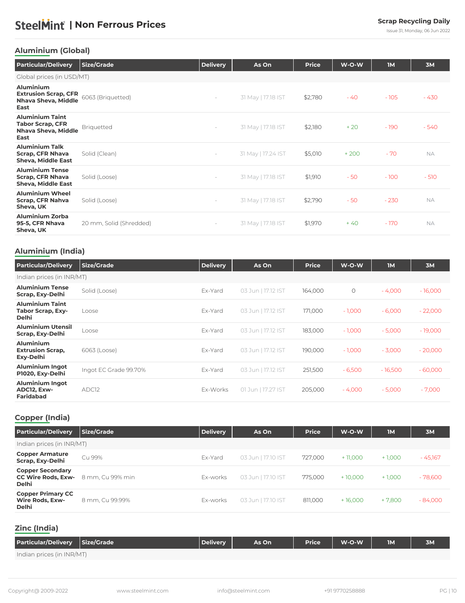Issue 31, Monday, 06 Jun 2022

### <span id="page-9-0"></span>**Aluminium (Global)**

| <b>Particular/Delivery</b>                                                                   | <b>Size/Grade</b>       | <b>Delivery</b>          | As On              | <b>Price</b> | W-O-W  | <b>IM</b> | 3M        |
|----------------------------------------------------------------------------------------------|-------------------------|--------------------------|--------------------|--------------|--------|-----------|-----------|
| Global prices (in USD/MT)                                                                    |                         |                          |                    |              |        |           |           |
| <b>Aluminium</b><br><b>Extrusion Scrap, CFR</b><br><b>Nhava Sheva, Middle</b><br><b>East</b> | 6063 (Briquetted)       | $\overline{\phantom{a}}$ | 31 May   17.18 IST | \$2,780      | $-40$  | $-105$    | $-430$    |
| <b>Aluminium Taint</b><br><b>Tabor Scrap, CFR</b><br>Nhava Sheva, Middle<br>East             | <b>Briquetted</b>       | $\overline{\phantom{a}}$ | 31 May   17.18 IST | \$2,180      | $+20$  | $-190$    | $-540$    |
| <b>Aluminium Talk</b><br><b>Scrap, CFR Nhava</b><br><b>Sheva, Middle East</b>                | Solid (Clean)           | $\overline{\phantom{a}}$ | 31 May   17.24 IST | \$5,010      | $+200$ | $-70$     | <b>NA</b> |
| <b>Aluminium Tense</b><br><b>Scrap, CFR Nhava</b><br><b>Sheva, Middle East</b>               | Solid (Loose)           | $\overline{\phantom{a}}$ | 31 May   17.18 IST | \$1,910      | $-50$  | $-100$    | $-510$    |
| <b>Aluminium Wheel</b><br><b>Scrap, CFR Nahva</b><br>Sheva, UK                               | Solid (Loose)           | $\overline{\phantom{a}}$ | 31 May   17.18 IST | \$2,790      | $-50$  | $-230$    | <b>NA</b> |
| <b>Aluminium Zorba</b><br>95-5, CFR Nhava<br>Sheva, UK                                       | 20 mm, Solid (Shredded) | $\overline{\phantom{a}}$ | 31 May   17.18 IST | \$1,970      | $+40$  | $-170$    | <b>NA</b> |

### **Aluminium (India)**

| <b>Particular/Delivery</b>                                         | <b>Size/Grade</b>     | <b>Delivery</b> | As On              | <b>Price</b> | $W-O-W$    | <b>IM</b> | 3M        |
|--------------------------------------------------------------------|-----------------------|-----------------|--------------------|--------------|------------|-----------|-----------|
| Indian prices (in INR/MT)                                          |                       |                 |                    |              |            |           |           |
| <b>Aluminium Tense</b><br>Scrap, Exy-Delhi                         | Solid (Loose)         | Ex-Yard         | 03 Jun   17.12 IST | 164,000      | $\bigcirc$ | $-4,000$  | $-16,000$ |
| <b>Aluminium Taint</b><br><b>Tabor Scrap, Exy-</b><br><b>Delhi</b> | Loose                 | Ex-Yard         | 03 Jun   17.12 IST | 171,000      | $-1,000$   | $-6,000$  | $-22,000$ |
| <b>Aluminium Utensil</b><br>Scrap, Exy-Delhi                       | Loose                 | Ex-Yard         | 03 Jun   17.12 IST | 183,000      | $-1,000$   | $-5,000$  | $-19,000$ |
| <b>Aluminium</b><br><b>Extrusion Scrap,</b><br>Exy-Delhi           | 6063 (Loose)          | Ex-Yard         | 03 Jun   17.12 IST | 190,000      | $-1,000$   | $-3,000$  | $-20,000$ |
| <b>Aluminium Ingot</b><br>P1020, Exy-Delhi                         | Ingot EC Grade 99.70% | Ex-Yard         | 03 Jun   17.12 IST | 251,500      | $-6,500$   | $-16,500$ | $-60,000$ |
| <b>Aluminium Ingot</b><br>ADC12, Exw-<br><b>Faridabad</b>          | ADC <sub>12</sub>     | Ex-Works        | 01 Jun   17.27 IST | 205,000      | $-4,000$   | $-5,000$  | $-7,000$  |

### **Copper (India)**

| <b>Particular/Delivery</b>                                           | <b>Size/Grade</b> | <b>Delivery</b> | As On              | <b>Price</b> | $W-O-W$   | $\mathsf{IM}$ | 3M        |  |  |
|----------------------------------------------------------------------|-------------------|-----------------|--------------------|--------------|-----------|---------------|-----------|--|--|
| Indian prices (in INR/MT)                                            |                   |                 |                    |              |           |               |           |  |  |
| <b>Copper Armature</b><br>Scrap, Exy-Delhi                           | Cu 99%            | Ex-Yard         | 03 Jun   17.10 IST | 727,000      | + 11,000  | $+1,000$      | $-45,167$ |  |  |
| <b>Copper Secondary</b><br><b>CC Wire Rods, Exw-</b><br><b>Delhi</b> | 8 mm, Cu 99% min  | Ex-works        | 03 Jun   17.10 IST | 775,000      | $+10,000$ | $+1,000$      | $-78,600$ |  |  |
| <b>Copper Primary CC</b><br><b>Wire Rods, Exw-</b><br><b>Delhi</b>   | 8 mm, Cu 99.99%   | Ex-works        | 03 Jun   17.10 IST | 811,000      | $+16,000$ | $+7,800$      | $-84,000$ |  |  |
|                                                                      |                   |                 |                    |              |           |               |           |  |  |

### **Zinc (India)**

| <b>Particular/Delivery</b> | Size/Grade | <b>Delivery</b> | As On | <b>Price</b> | W-O-W | <b>TM</b> | <b>3M</b> |
|----------------------------|------------|-----------------|-------|--------------|-------|-----------|-----------|
| Indian prices (in INR/MT)  |            |                 |       |              |       |           |           |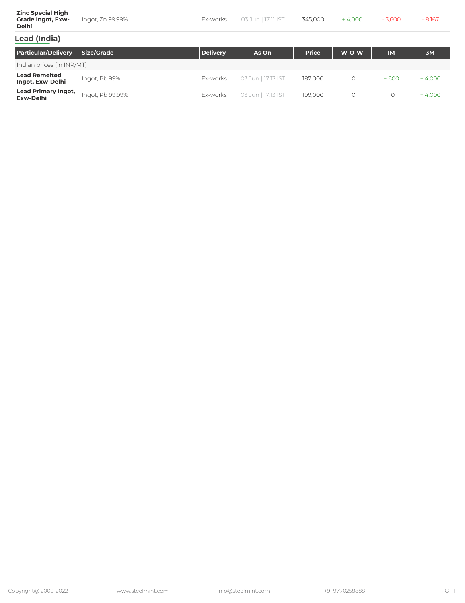| <b>Zinc Special High</b><br><b>Grade Ingot, Exw-</b><br><b>Delhi</b> | Ingot, Zn 99.99%  | Ex-works        | 03 Jun   17.11 IST | 345,000      | $+4.000$ | $-3,600$  | $-8,167$ |
|----------------------------------------------------------------------|-------------------|-----------------|--------------------|--------------|----------|-----------|----------|
| <b>Lead (India)</b>                                                  |                   |                 |                    |              |          |           |          |
| <b>Particular/Delivery</b>                                           | <b>Size/Grade</b> | <b>Delivery</b> | As On              | <b>Price</b> | W-O-W    | <b>IM</b> | 3M       |

| Indian prices (in INR/MT)                      |                  |          |                    |         |  |        |         |  |
|------------------------------------------------|------------------|----------|--------------------|---------|--|--------|---------|--|
| <b>Lead Remelted</b><br>Ingot, Exw-Delhi       | Ingot, Pb 99%    | Ex-works | 03 Jun   17.13 IST | 187,000 |  | $+600$ | - 4,000 |  |
| <b>Lead Primary Ingot,</b><br><b>Exw-Delhi</b> | Ingot, Pb 99.99% | Ex-works | 03 Jun   17.13 IST | 199.000 |  |        | - 4.000 |  |

٦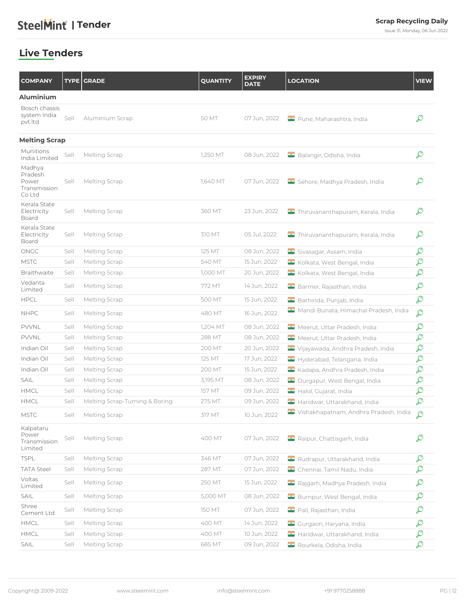Issue 31, Monday, 06 Jun 2022

### <span id="page-11-0"></span>**Live Tenders**

| <b>COMPANY</b>                                       |      | <b>TYPE GRADE</b>              | <b>QUANTITY</b> | <b>EXPIRY</b><br><b>DATE</b> | <b>LOCATION</b>                       | <b>VIEW</b> |
|------------------------------------------------------|------|--------------------------------|-----------------|------------------------------|---------------------------------------|-------------|
| <b>Aluminium</b>                                     |      |                                |                 |                              |                                       |             |
| Bosch chassis<br>system India<br>pvt Itd             | Sell | Aluminium Scrap                | 50 MT           | 07 Jun, 2022                 | Pune, Maharashtra, India              | ₽           |
| <b>Melting Scrap</b>                                 |      |                                |                 |                              |                                       |             |
| Munitions<br>India Limited                           | Sell | Melting Scrap                  | 1,250 MT        | 08 Jun, 2022                 | Balangir, Odisha, India               | ₽           |
| Madhya<br>Pradesh<br>Power<br>Transmission<br>Co Ltd | Sell | Melting Scrap                  | 1,640 MT        | 07 Jun, 2022                 | Sehore, Madhya Pradesh, India         | ₽           |
| Kerala State<br>Electricity<br>Board                 | Sell | Melting Scrap                  | 360 MT          | 23 Jun, 2022                 | Thiruvananthapuram, Kerala, India     | ₽           |
| Kerala State<br>Electricity<br>Board                 | Sell | Melting Scrap                  | 310 MT          | 05 Jul, 2022                 | Thiruvananthapuram, Kerala, India     | ₽           |
| ONGC                                                 | Sell | Melting Scrap                  | <b>125 MT</b>   | 08 Jun, 2022                 | Sivasagar, Assam, India               | ₽           |
| <b>MSTC</b>                                          | Sell | Melting Scrap                  | 540 MT          | 15 Jun, 2022                 | Kolkata, West Bengal, India           | ₽           |
| Braithwaite                                          | Sell | Melting Scrap                  | 1,000 MT        | 20 Jun, 2022                 | Kolkata, West Bengal, India           | ₽           |
| Vedanta<br>Limited                                   | Sell | Melting Scrap                  | 772 MT          | 14 Jun, 2022                 | Barmer, Rajasthan, India              | ₽           |
| <b>HPCL</b>                                          | Sell | Melting Scrap                  | 500 MT          | 15 Jun, 2022                 | Bathinda, Punjab, India               | ₽           |
| <b>NHPC</b>                                          | Sell | Melting Scrap                  | 480 MT          | 16 Jun, 2022                 | Mandi Bunata, Himachal Pradesh, India | ₽           |
| PVVNL                                                | Sell | Melting Scrap                  | 1,204 MT        | 08 Jun, 2022                 | Meerut, Uttar Pradesh, India          | ₽           |
| PVVNL                                                | Sell | Melting Scrap                  | 288 MT          | 08 Jun, 2022                 | Meerut, Uttar Pradesh, India          | ₽           |
| Indian Oil                                           | Sell | Melting Scrap                  | 200 MT          | 20 Jun, 2022                 | Vijayawada, Andhra Pradesh, India     | ₽           |
| Indian Oil                                           | Sell | Melting Scrap                  | <b>125 MT</b>   | 17 Jun, 2022                 | Hyderabad, Telangana, India           | ₽           |
| Indian Oil                                           | Sell | Melting Scrap                  | 200 MT          | 15 Jun, 2022                 | Kadapa, Andhra Pradesh, India         | ₽           |
| SAIL                                                 | Sell | Melting Scrap                  | 3,195 MT        | 08 Jun, 2022                 | Durgapur, West Bengal, India          | ₽           |
| HMCL                                                 | Sell | Melting Scrap                  | 157 MT          | 09 Jun, 2022                 | Halol, Gujarat, India                 | ₽           |
| HMCL                                                 | Sell | Melting Scrap-Turning & Boring | 275 MT          | 09 Jun, 2022                 | Haridwar, Uttarakhand, India          | ₽           |
| <b>MSTC</b>                                          | Sell | Melting Scrap                  | 317 MT          | 10 Jun, 2022                 | Vishakhapatnam, Andhra Pradesh, India | ₽           |
| Kalpataru<br>Power<br>Transmission<br>Limited        | Sell | Melting Scrap                  | 400 MT          | 07 Jun, 2022                 | Raipur, Chattisgarh, India            | ₽           |
| <b>TSPL</b>                                          | Sell | Melting Scrap                  | 346 MT          | 07 Jun, 2022                 | Rudrapur, Uttarakhand, India          | ₽           |
| <b>TATA Steel</b>                                    | Sell | Melting Scrap                  | 287 MT          | 07 Jun, 2022                 | Chennai, Tamil Nadu, India            | ₽           |
| Voltas<br>Limited                                    | Sell | Melting Scrap                  | 250 MT          | 15 Jun, 2022                 | Rajgarh, Madhya Pradesh, India        | ₽           |
| SAIL                                                 | Sell | Melting Scrap                  | 5,000 MT        | 08 Jun, 2022                 | Burnpur, West Bengal, India           | ₽           |
| Shree<br>Cement Ltd                                  | Sell | Melting Scrap                  | <b>150 MT</b>   | 07 Jun, 2022                 | Pali, Rajasthan, India                | ₽           |
| HMCL                                                 | Sell | Melting Scrap                  | 400 MT          | 14 Jun, 2022                 | Gurgaon, Haryana, India               | ₽           |
| HMCL                                                 | Sell | Melting Scrap                  | 400 MT          | 10 Jun, 2022                 | Haridwar, Uttarakhand, India          | ₽           |
| SAIL                                                 | Sell | Melting Scrap                  | 685 MT          | 09 Jun, 2022                 | Rourkela, Odisha, India               | ₽           |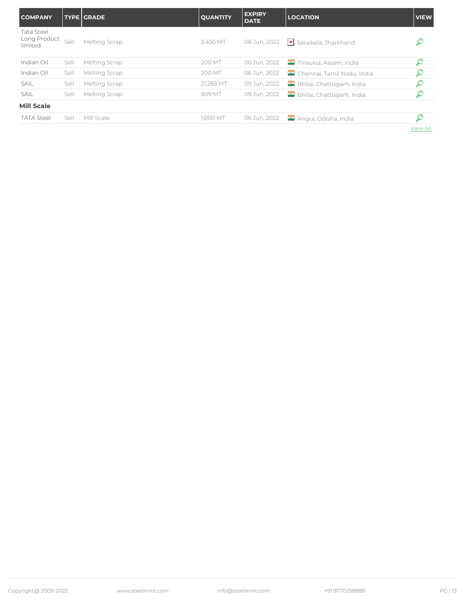| <b>COMPANY</b>                               |      | <b>TYPE GRADE</b> | <b>QUANTITY</b> | <b>EXPIRY</b><br><b>DATE</b> | <b>LOCATION</b>            | <b>VIEW</b>     |
|----------------------------------------------|------|-------------------|-----------------|------------------------------|----------------------------|-----------------|
| <b>Tata Steel</b><br>Long Product<br>limited | Sell | Melting Scrap     | 3,450 MT        | 08 Jun, 2022                 | Seraikela, Jharkhand       | ₽               |
| Indian Oil                                   | Sell | Melting Scrap     | 200 MT          | 06 Jun, 2022                 | Tinsukia, Assam, India     | ₽               |
| Indian Oil                                   | Sell | Melting Scrap     | 200 MT          | 06 Jun, 2022                 | Chennai, Tamil Nadu, India | ₽               |
| <b>SAIL</b>                                  | Sell | Melting Scrap     | 21,283 MT       | 09 Jun, 2022                 | Bhilai, Chattisgarh, India | ₽               |
| <b>SAIL</b>                                  | Sell | Melting Scrap     | 809 MT          | 09 Jun, 2022                 | Bhilai, Chattisgarh, India | ₽               |
| <b>Mill Scale</b>                            |      |                   |                 |                              |                            |                 |
| <b>TATA Steel</b>                            | Sell | Mill Scale        | 1,000 MT        | 06 Jun, 2022                 | Angul, Odisha, India       | ₽               |
|                                              |      |                   |                 |                              |                            | <b>View All</b> |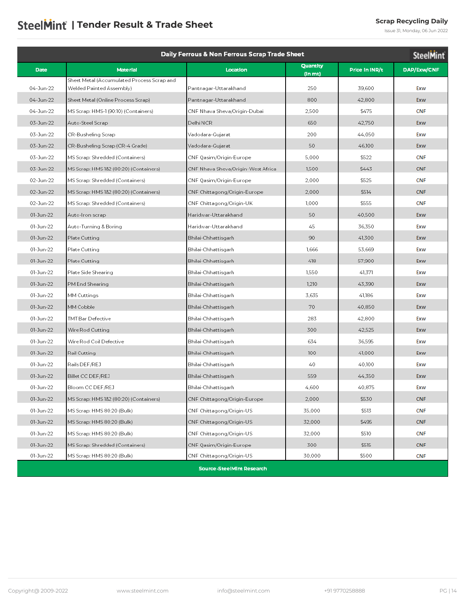## <span id="page-13-0"></span>**SteelMint | Tender Result & Trade Sheet Scrap Recycling Daily Scrap Recycling Daily**

Issue 31, Monday, 06 Jun 2022

| Daily Ferrous & Non Ferrous Scrap Trade Sheet<br><b>SteelMint</b> |                                            |                                    |                     |                |             |  |  |
|-------------------------------------------------------------------|--------------------------------------------|------------------------------------|---------------------|----------------|-------------|--|--|
| <b>Date</b>                                                       | <b>Material</b>                            | Location                           | Quantity<br>(In mt) | Price in INR/t | DAP/Exw/CNF |  |  |
|                                                                   | Sheet Metal (Accumulated Process Scrap and |                                    |                     |                |             |  |  |
| 04-Jun-22                                                         | Welded Painted Assembly)                   | Pantnagar-Uttarakhand              | 250                 | 39,600         | Exw         |  |  |
| 04-Jun-22                                                         | Sheet Metal (Online Process Scrap)         | Pantnagar-Uttarakhand              | 800                 | 42,800         | Exw         |  |  |
| 04-Jun-22                                                         | MS Scrap: HMS-1 (90:10) (Containers)       | CNF Nhava Sheva/Origin-Dubai       | 2,500               | \$475          | <b>CNF</b>  |  |  |
| 03-Jun-22                                                         | Auto-Steel Scrap                           | Delhi NCR                          | 650                 | 42,750         | Exw         |  |  |
| 03-Jun-22                                                         | CR-Busheling Scrap                         | Vadodara-Gujarat                   | 200                 | 44,050         | Exw         |  |  |
| 03-Jun-22                                                         | CR-Busheling Scrap (CR-4 Grade)            | Vadodara-Gujarat                   | 50                  | 46,100         | Exw         |  |  |
| 03-Jun-22                                                         | MS Scrap: Shredded (Containers)            | CNF Qasim/Origin-Europe            | 5,000               | \$522          | <b>CNF</b>  |  |  |
| 03-Jun-22                                                         | MS Scrap: HMS 1&2 (80:20) (Containers)     | CNF Nhava Sheva/Origin-West Africa | 1,500               | \$443          | <b>CNF</b>  |  |  |
| 02-Jun-22                                                         | MS Scrap: Shredded (Containers)            | CNF Qasim/Origin-Europe            | 2.000               | \$525          | <b>CNF</b>  |  |  |
| 02-Jun-22                                                         | MS Scrap: HMS 1&2 (80:20) (Containers)     | CNF Chittagong/Origin-Europe       | 2.000               | \$514          | <b>CNF</b>  |  |  |
| 02-Jun-22                                                         | MS Scrap: Shredded (Containers)            | CNF Chittagong/Origin-UK           | 1,000               | \$555          | <b>CNF</b>  |  |  |
| 01-Jun-22                                                         | Auto-Iron scrap                            | Haridwar-Uttarakhand               | 50                  | 40,500         | Exw         |  |  |
| 01-Jun-22                                                         | Auto-Turning & Boring                      | Haridwar-Uttarakhand               | 45                  | 36,350         | Exw         |  |  |
| 01-Jun-22                                                         | Plate Cutting                              | Bhilai-Chhattisgarh                | 90                  | 41,300         | Exw         |  |  |
| 01-Jun-22                                                         | Plate Cutting                              | Bhilai-Chhattisgarh                | 1,666               | 53,669         | Exw         |  |  |
| 01-Jun-22                                                         | Plate Cutting                              | Bhilai-Chhattisgarh                | 418                 | 57,900         | Exw         |  |  |
| 01-Jun-22                                                         | Plate Side Shearing                        | Bhilai-Chhattisgarh                | 1,550               | 41.371         | Exw         |  |  |
| 01-Jun-22                                                         | PM End Shearing                            | Bhilai-Chhattisgarh                | 1.210               | 43,390         | Exw         |  |  |
| 01-Jun-22                                                         | MM Cuttings                                | Bhilai-Chhattisgarh                | 3,635               | 41,186         | Exw         |  |  |
| 01-Jun-22                                                         | MM Cobble                                  | Bhilai-Chhattisgarh                | 70                  | 40,850         | Exw         |  |  |
| 01-Jun-22                                                         | TMT Bar Defective                          | Bhilai-Chhattisgarh                | 283                 | 42,800         | Exw         |  |  |
| 01-Jun-22                                                         | Wire Rod Cutting                           | Bhilai-Chhattisgarh                | 300                 | 42,525         | Exw         |  |  |
| 01-Jun-22                                                         | Wire Rod Coil Defective                    | Bhilai-Chhattisgarh                | 634                 | 36,595         | Exw         |  |  |
| 01-Jun-22                                                         | Rail Cutting                               | Bhilai-Chhattisgarh                | 100                 | 41,000         | Exw         |  |  |
| 01-Jun-22                                                         | Rails DEF/REJ                              | Bhilai-Chhattisgarh                | 40                  | 40,100         | Exw         |  |  |
| 01-Jun-22                                                         | Billet CC DEF/REJ                          | Bhilai-Chhattisgarh                | 559                 | 44,350         | Exw         |  |  |
| 01-Jun-22                                                         | Bloom CC DEF/REJ                           | Bhilai-Chhattisgarh                | 4,600               | 40,875         | Exw         |  |  |
| 01-Jun-22                                                         | MS Scrap: HMS 182 (80:20) (Containers)     | CNF Chittagong/Origin-Europe       | 2,000               | \$530          | <b>CNF</b>  |  |  |
| 01-Jun-22                                                         | MS Scrap: HMS 80:20 (Bulk)                 | CNF Chittagong/Origin-US           | 35,000              | \$513          | <b>CNF</b>  |  |  |
| 01-Jun-22                                                         | MS Scrap: HMS 80:20 (Bulk)                 | CNF Chittagong/Origin-US           | 32,000              | \$495          | <b>CNF</b>  |  |  |
| 01-Jun-22                                                         | MS Scrap: HMS 80:20 (Bulk)                 | CNF Chittagong/Origin-US           | 32,000              | \$510          | <b>CNF</b>  |  |  |
| 01-Jun-22                                                         | MS Scrap: Shredded (Containers)            | CNF Qasim/Origin-Europe            | 300                 | \$515          | <b>CNF</b>  |  |  |
| 01-Jun-22                                                         | MS Scrap: HMS 80:20 (Bulk)                 | CNF Chittagong/Origin-US           | 30,000              | \$500          | <b>CNF</b>  |  |  |
|                                                                   |                                            | <b>Source-SteelMint Research</b>   |                     |                |             |  |  |